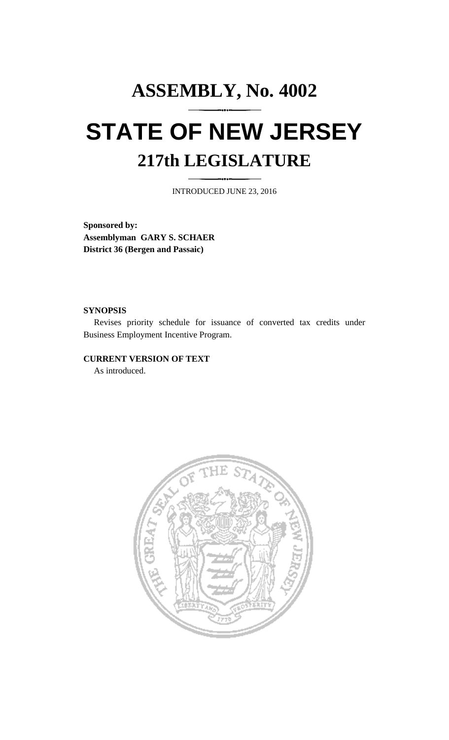# **ASSEMBLY, No. 4002 STATE OF NEW JERSEY 217th LEGISLATURE**

INTRODUCED JUNE 23, 2016

**Sponsored by: Assemblyman GARY S. SCHAER District 36 (Bergen and Passaic)**

#### **SYNOPSIS**

Revises priority schedule for issuance of converted tax credits under Business Employment Incentive Program.

# **CURRENT VERSION OF TEXT**

As introduced.

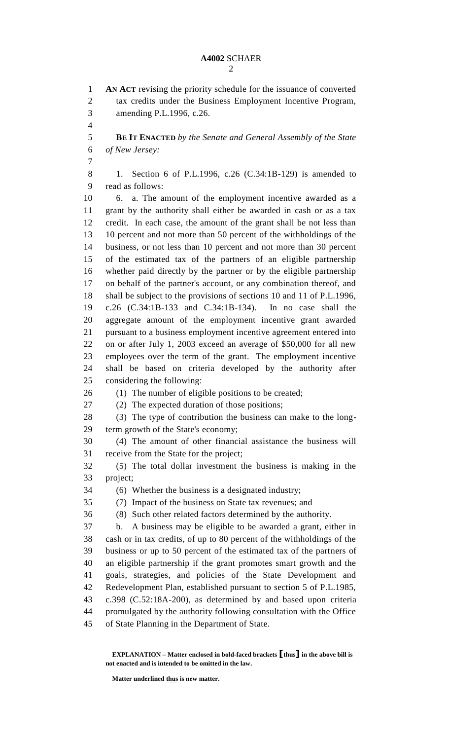## **A4002** SCHAER

 **AN ACT** revising the priority schedule for the issuance of converted tax credits under the Business Employment Incentive Program, amending P.L.1996, c.26. **BE IT ENACTED** *by the Senate and General Assembly of the State of New Jersey:* 1. Section 6 of P.L.1996, c.26 (C.34:1B-129) is amended to read as follows: 6. a. The amount of the employment incentive awarded as a grant by the authority shall either be awarded in cash or as a tax credit. In each case, the amount of the grant shall be not less than 10 percent and not more than 50 percent of the withholdings of the business, or not less than 10 percent and not more than 30 percent of the estimated tax of the partners of an eligible partnership whether paid directly by the partner or by the eligible partnership on behalf of the partner's account, or any combination thereof, and shall be subject to the provisions of sections 10 and 11 of P.L.1996, c.26 (C.34:1B-133 and C.34:1B-134). In no case shall the aggregate amount of the employment incentive grant awarded pursuant to a business employment incentive agreement entered into on or after July 1, 2003 exceed an average of \$50,000 for all new employees over the term of the grant. The employment incentive shall be based on criteria developed by the authority after considering the following: 26 (1) The number of eligible positions to be created; (2) The expected duration of those positions; (3) The type of contribution the business can make to the long- term growth of the State's economy; (4) The amount of other financial assistance the business will receive from the State for the project; (5) The total dollar investment the business is making in the project; (6) Whether the business is a designated industry; (7) Impact of the business on State tax revenues; and (8) Such other related factors determined by the authority. b. A business may be eligible to be awarded a grant, either in cash or in tax credits, of up to 80 percent of the withholdings of the business or up to 50 percent of the estimated tax of the partners of an eligible partnership if the grant promotes smart growth and the goals, strategies, and policies of the State Development and Redevelopment Plan, established pursuant to section 5 of P.L.1985,

 c.398 (C.52:18A-200), as determined by and based upon criteria promulgated by the authority following consultation with the Office

of State Planning in the Department of State.

**EXPLANATION – Matter enclosed in bold-faced brackets [thus] in the above bill is not enacted and is intended to be omitted in the law.**

**Matter underlined thus is new matter.**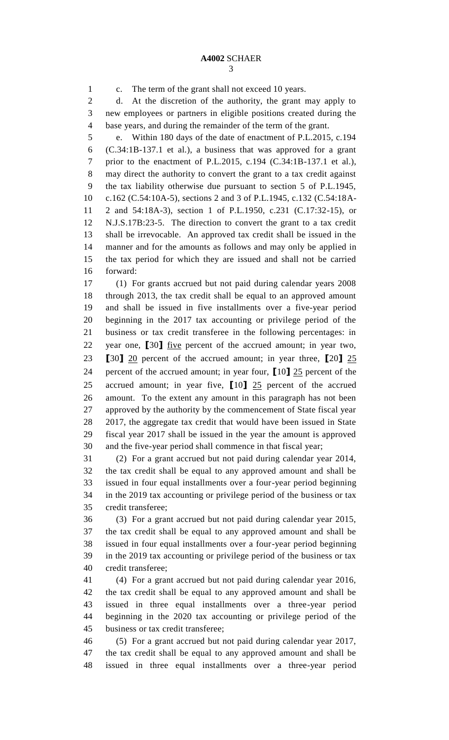c. The term of the grant shall not exceed 10 years. d. At the discretion of the authority, the grant may apply to new employees or partners in eligible positions created during the base years, and during the remainder of the term of the grant.

 e. Within 180 days of the date of enactment of P.L.2015, c.194 (C.34:1B-137.1 et al.), a business that was approved for a grant prior to the enactment of P.L.2015, c.194 (C.34:1B-137.1 et al.), may direct the authority to convert the grant to a tax credit against the tax liability otherwise due pursuant to section 5 of P.L.1945, c.162 (C.54:10A-5), sections 2 and 3 of P.L.1945, c.132 (C.54:18A- 2 and 54:18A-3), section 1 of P.L.1950, c.231 (C.17:32-15), or N.J.S.17B:23-5. The direction to convert the grant to a tax credit shall be irrevocable. An approved tax credit shall be issued in the manner and for the amounts as follows and may only be applied in the tax period for which they are issued and shall not be carried forward:

 (1) For grants accrued but not paid during calendar years 2008 through 2013, the tax credit shall be equal to an approved amount and shall be issued in five installments over a five-year period beginning in the 2017 tax accounting or privilege period of the business or tax credit transferee in the following percentages: in year one, **[**30**]** five percent of the accrued amount; in year two, **[**30**]** 20 percent of the accrued amount; in year three, **[**20**]** 25 percent of the accrued amount; in year four, **[**10**]** 25 percent of the accrued amount; in year five, **[**10**]** 25 percent of the accrued amount. To the extent any amount in this paragraph has not been approved by the authority by the commencement of State fiscal year 2017, the aggregate tax credit that would have been issued in State fiscal year 2017 shall be issued in the year the amount is approved and the five-year period shall commence in that fiscal year;

 (2) For a grant accrued but not paid during calendar year 2014, the tax credit shall be equal to any approved amount and shall be issued in four equal installments over a four-year period beginning in the 2019 tax accounting or privilege period of the business or tax credit transferee;

 (3) For a grant accrued but not paid during calendar year 2015, the tax credit shall be equal to any approved amount and shall be issued in four equal installments over a four-year period beginning in the 2019 tax accounting or privilege period of the business or tax credit transferee;

 (4) For a grant accrued but not paid during calendar year 2016, the tax credit shall be equal to any approved amount and shall be issued in three equal installments over a three-year period beginning in the 2020 tax accounting or privilege period of the business or tax credit transferee;

 (5) For a grant accrued but not paid during calendar year 2017, the tax credit shall be equal to any approved amount and shall be issued in three equal installments over a three-year period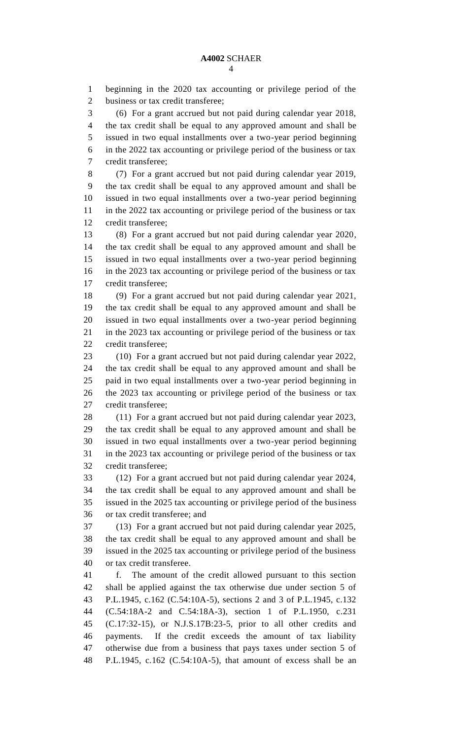beginning in the 2020 tax accounting or privilege period of the business or tax credit transferee; (6) For a grant accrued but not paid during calendar year 2018, the tax credit shall be equal to any approved amount and shall be issued in two equal installments over a two-year period beginning in the 2022 tax accounting or privilege period of the business or tax credit transferee; (7) For a grant accrued but not paid during calendar year 2019, the tax credit shall be equal to any approved amount and shall be issued in two equal installments over a two-year period beginning in the 2022 tax accounting or privilege period of the business or tax credit transferee; (8) For a grant accrued but not paid during calendar year 2020, the tax credit shall be equal to any approved amount and shall be issued in two equal installments over a two-year period beginning in the 2023 tax accounting or privilege period of the business or tax credit transferee; (9) For a grant accrued but not paid during calendar year 2021, the tax credit shall be equal to any approved amount and shall be issued in two equal installments over a two-year period beginning in the 2023 tax accounting or privilege period of the business or tax credit transferee; (10) For a grant accrued but not paid during calendar year 2022, the tax credit shall be equal to any approved amount and shall be paid in two equal installments over a two-year period beginning in the 2023 tax accounting or privilege period of the business or tax credit transferee; (11) For a grant accrued but not paid during calendar year 2023, the tax credit shall be equal to any approved amount and shall be issued in two equal installments over a two-year period beginning in the 2023 tax accounting or privilege period of the business or tax credit transferee; (12) For a grant accrued but not paid during calendar year 2024, the tax credit shall be equal to any approved amount and shall be issued in the 2025 tax accounting or privilege period of the business or tax credit transferee; and (13) For a grant accrued but not paid during calendar year 2025,

 the tax credit shall be equal to any approved amount and shall be issued in the 2025 tax accounting or privilege period of the business or tax credit transferee.

 f. The amount of the credit allowed pursuant to this section shall be applied against the tax otherwise due under section 5 of P.L.1945, c.162 (C.54:10A-5), sections 2 and 3 of P.L.1945, c.132 (C.54:18A-2 and C.54:18A-3), section 1 of P.L.1950, c.231 (C.17:32-15), or N.J.S.17B:23-5, prior to all other credits and payments. If the credit exceeds the amount of tax liability otherwise due from a business that pays taxes under section 5 of P.L.1945, c.162 (C.54:10A-5), that amount of excess shall be an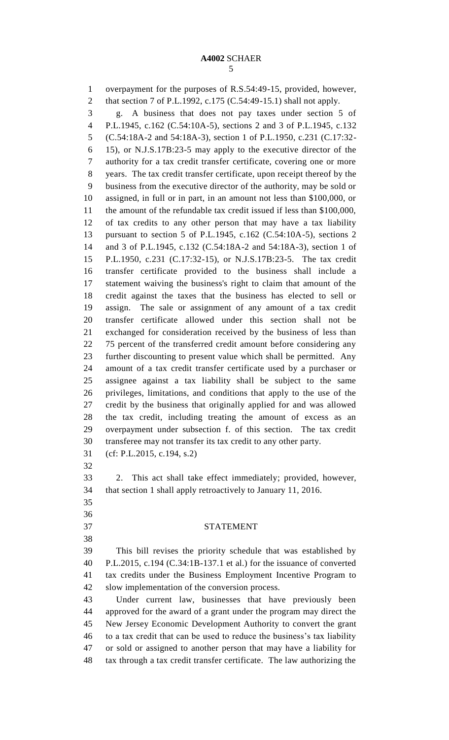#### **A4002** SCHAER

 overpayment for the purposes of R.S.54:49-15, provided, however, that section 7 of P.L.1992, c.175 (C.54:49-15.1) shall not apply. g. A business that does not pay taxes under section 5 of P.L.1945, c.162 (C.54:10A-5), sections 2 and 3 of P.L.1945, c.132 (C.54:18A-2 and 54:18A-3), section 1 of P.L.1950, c.231 (C.17:32- 15), or N.J.S.17B:23-5 may apply to the executive director of the authority for a tax credit transfer certificate, covering one or more years. The tax credit transfer certificate, upon receipt thereof by the business from the executive director of the authority, may be sold or assigned, in full or in part, in an amount not less than \$100,000, or the amount of the refundable tax credit issued if less than \$100,000, of tax credits to any other person that may have a tax liability pursuant to section 5 of P.L.1945, c.162 (C.54:10A-5), sections 2 and 3 of P.L.1945, c.132 (C.54:18A-2 and 54:18A-3), section 1 of P.L.1950, c.231 (C.17:32-15), or N.J.S.17B:23-5. The tax credit transfer certificate provided to the business shall include a statement waiving the business's right to claim that amount of the credit against the taxes that the business has elected to sell or assign. The sale or assignment of any amount of a tax credit transfer certificate allowed under this section shall not be exchanged for consideration received by the business of less than 75 percent of the transferred credit amount before considering any further discounting to present value which shall be permitted. Any amount of a tax credit transfer certificate used by a purchaser or assignee against a tax liability shall be subject to the same privileges, limitations, and conditions that apply to the use of the credit by the business that originally applied for and was allowed the tax credit, including treating the amount of excess as an overpayment under subsection f. of this section. The tax credit transferee may not transfer its tax credit to any other party. (cf: P.L.2015, c.194, s.2) 2. This act shall take effect immediately; provided, however, that section 1 shall apply retroactively to January 11, 2016.

 

## STATEMENT

 This bill revises the priority schedule that was established by P.L.2015, c.194 (C.34:1B-137.1 et al.) for the issuance of converted tax credits under the Business Employment Incentive Program to slow implementation of the conversion process.

 Under current law, businesses that have previously been approved for the award of a grant under the program may direct the New Jersey Economic Development Authority to convert the grant to a tax credit that can be used to reduce the business's tax liability or sold or assigned to another person that may have a liability for tax through a tax credit transfer certificate. The law authorizing the